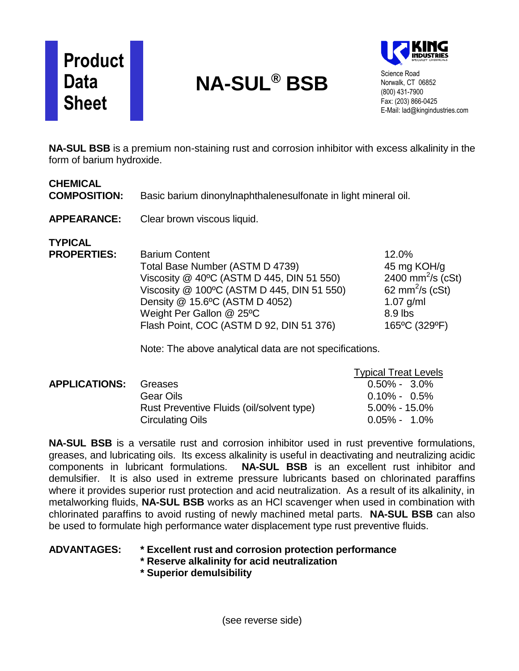# **Product Data Sheet**

# **NA-SUL® BSB**



Science Road Norwalk, CT 06852 (800) 431-7900 Fax: (203) 866-0425 E-Mail: lad@kingindustries.com

**NA-SUL BSB** is a premium non-staining rust and corrosion inhibitor with excess alkalinity in the form of barium hydroxide.

| <b>CHEMICAL</b><br><b>COMPOSITION:</b> | Basic barium dinonylnaphthalenesulfonate in light mineral oil.                                                                                                                                                                                                                                                           |                                                                                                                                 |
|----------------------------------------|--------------------------------------------------------------------------------------------------------------------------------------------------------------------------------------------------------------------------------------------------------------------------------------------------------------------------|---------------------------------------------------------------------------------------------------------------------------------|
| <b>APPEARANCE:</b>                     | Clear brown viscous liquid.                                                                                                                                                                                                                                                                                              |                                                                                                                                 |
| <b>TYPICAL</b><br><b>PROPERTIES:</b>   | <b>Barium Content</b><br>Total Base Number (ASTM D 4739)<br>Viscosity @ 40°C (ASTM D 445, DIN 51 550)<br>Viscosity @ 100°C (ASTM D 445, DIN 51 550)<br>Density @ 15.6°C (ASTM D 4052)<br>Weight Per Gallon @ 25°C<br>Flash Point, COC (ASTM D 92, DIN 51 376)<br>Note: The above analytical data are not specifications. | 12.0%<br>45 mg KOH/g<br>2400 mm <sup>2</sup> /s (cSt)<br>62 mm <sup>2</sup> /s (cSt)<br>$1.07$ g/ml<br>8.9 lbs<br>165°C (329°F) |

|                      |                                           | <b>Typical Treat Levels</b> |
|----------------------|-------------------------------------------|-----------------------------|
| <b>APPLICATIONS:</b> | Greases                                   | $0.50\% - 3.0\%$            |
|                      | Gear Oils                                 | $0.10\% - 0.5\%$            |
|                      | Rust Preventive Fluids (oil/solvent type) | $5.00\%$ - 15.0%            |
|                      | <b>Circulating Oils</b>                   | $0.05\% - 1.0\%$            |

**NA-SUL BSB** is a versatile rust and corrosion inhibitor used in rust preventive formulations, greases, and lubricating oils. Its excess alkalinity is useful in deactivating and neutralizing acidic components in lubricant formulations. **NA-SUL BSB** is an excellent rust inhibitor and demulsifier. It is also used in extreme pressure lubricants based on chlorinated paraffins where it provides superior rust protection and acid neutralization. As a result of its alkalinity, in metalworking fluids, **NA-SUL BSB** works as an HCl scavenger when used in combination with chlorinated paraffins to avoid rusting of newly machined metal parts. **NA-SUL BSB** can also be used to formulate high performance water displacement type rust preventive fluids.

#### **ADVANTAGES: \* Excellent rust and corrosion protection performance**

**\* Reserve alkalinity for acid neutralization**

**\* Superior demulsibility**